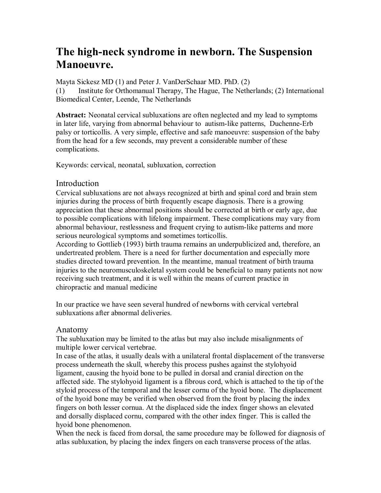# **The high-neck syndrome in newborn. The Suspension Manoeuvre.**

Mayta Sickesz MD (1) and Peter J. VanDerSchaar MD. PhD. (2) (1) Institute for Orthomanual Therapy, The Hague, The Netherlands; (2) International Biomedical Center, Leende, The Netherlands

**Abstract:** Neonatal cervical subluxations are often neglected and my lead to symptoms in later life, varying from abnormal behaviour to autism-like patterns, Duchenne-Erb palsy or torticollis. A very simple, effective and safe manoeuvre: suspension of the baby from the head for a few seconds, may prevent a considerable number of these complications.

Keywords: cervical, neonatal, subluxation, correction

#### **Introduction**

Cervical subluxations are not always recognized at birth and spinal cord and brain stem injuries during the process of birth frequently escape diagnosis. There is a growing appreciation that these abnormal positions should be corrected at birth or early age, due to possible complications with lifelong impairment. These complications may vary from abnormal behaviour, restlessness and frequent crying to autism-like patterns and more serious neurological symptoms and sometimes torticollis.

According to Gottlieb (1993) birth trauma remains an underpublicized and, therefore, an undertreated problem. There is a need for further documentation and especially more studies directed toward prevention. In the meantime, manual treatment of birth trauma injuries to the neuromusculoskeletal system could be beneficial to many patients not now receiving such treatment, and it is well within the means of current practice in chiropractic and manual medicine

In our practice we have seen several hundred of newborns with cervical vertebral subluxations after abnormal deliveries.

#### Anatomy

The subluxation may be limited to the atlas but may also include misalignments of multiple lower cervical vertebrae.

In case of the atlas, it usually deals with a unilateral frontal displacement of the transverse process underneath the skull, whereby this process pushes against the stylohyoid ligament, causing the hyoid bone to be pulled in dorsal and cranial direction on the affected side. The stylohyoid ligament is a fibrous cord, which is attached to the tip of the styloid process of the temporal and the lesser cornu of the hyoid bone. The displacement of the hyoid bone may be verified when observed from the front by placing the index fingers on both lesser cornua. At the displaced side the index finger shows an elevated and dorsally displaced cornu, compared with the other index finger. This is called the hyoid bone phenomenon.

When the neck is faced from dorsal, the same procedure may be followed for diagnosis of atlas subluxation, by placing the index fingers on each transverse process of the atlas.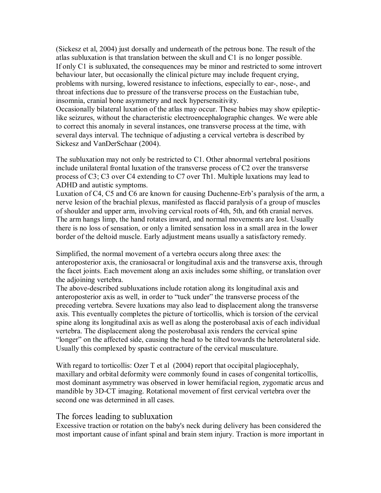(Sickesz et al, 2004) just dorsally and underneath of the petrous bone. The result of the atlas subluxation is that translation between the skull and C1 is no longer possible. If only C1 is subluxated, the consequences may be minor and restricted to some introvert behaviour later, but occasionally the clinical picture may include frequent crying, problems with nursing, lowered resistance to infections, especially to ear-, nose-, and throat infections due to pressure of the transverse process on the Eustachian tube, insomnia, cranial bone asymmetry and neck hypersensitivity.

Occasionally bilateral luxation of the atlas may occur. These babies may show epileptic like seizures, without the characteristic electroencephalographic changes. We were able to correct this anomaly in several instances, one transverse process at the time, with several days interval. The technique of adjusting a cervical vertebra is described by Sickesz and VanDerSchaar (2004).

The subluxation may not only be restricted to C1. Other abnormal vertebral positions include unilateral frontal luxation of the transverse process of C2 over the transverse process of C3; C3 over C4 extending to C7 over Th1. Multiple luxations may lead to ADHD and autistic symptoms.

Luxation of C4, C5 and C6 are known for causing Duchenne-Erb's paralysis of the arm, a nerve lesion of the brachial plexus, manifested as flaccid paralysis of a group of muscles of shoulder and upper arm, involving cervical roots of 4th, 5th, and 6th cranial nerves. The arm hangs limp, the hand rotates inward, and normal movements are lost. Usually there is no loss of sensation, or only a limited sensation loss in a small area in the lower border of the deltoid muscle. Early adjustment means usually a satisfactory remedy.

Simplified, the normal movement of a vertebra occurs along three axes: the anteroposterior axis, the craniosacral or longitudinal axis and the transverse axis, through the facet joints. Each movement along an axis includes some shifting, or translation over the adjoining vertebra.

The above-described subluxations include rotation along its longitudinal axis and anteroposterior axis as well, in order to "tuck under" the transverse process of the preceding vertebra. Severe luxations may also lead to displacement along the transverse axis. This eventually completes the picture of torticollis, which is torsion of the cervical spine along its longitudinal axis as well as along the posterobasal axis of each individual vertebra. The displacement along the posterobasal axis renders the cervical spine "longer" on the affected side, causing the head to be tilted towards the heterolateral side. Usually this complexed by spastic contracture of the cervical musculature.

With regard to torticollis: Ozer T et al (2004) report that occipital plagiocephaly, maxillary and orbital deformity were commonly found in cases of congenital torticollis, most dominant asymmetry was observed in lower hemifacial region, zygomatic arcus and mandible by 3D-CT imaging. Rotational movement of first cervical vertebra over the second one was determined in all cases.

#### The forces leading to subluxation

Excessive traction or rotation on the baby's neck during delivery has been considered the most important cause of infant spinal and brain stem injury. Traction is more important in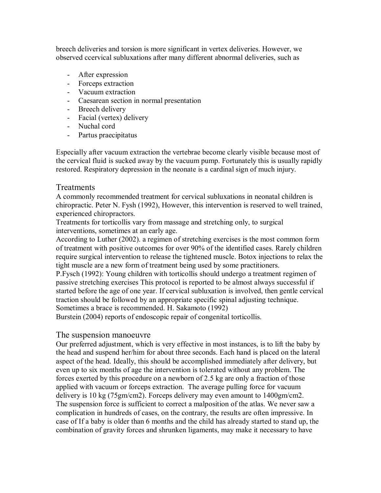breech deliveries and torsion is more significant in vertex deliveries. However, we observed ccervical subluxations after many different abnormal deliveries, such as

- After expression
- Forceps extraction
- Vacuum extraction
- Caesarean section in normal presentation
- Breech delivery
- Facial (vertex) delivery
- Nuchal cord
- Partus praecipitatus

Especially after vacuum extraction the vertebrae become clearly visible because most of the cervical fluid is sucked away by the vacuum pump. Fortunately this is usually rapidly restored. Respiratory depression in the neonate is a cardinal sign of much injury.

# **Treatments**

A commonly recommended treatment for cervical subluxations in neonatal children is chiropractic. Peter N. Fysh (1992), However, this intervention is reserved to well trained, experienced chiropractors.

Treatments for torticollis vary from massage and stretching only, to surgical interventions, sometimes at an early age.

According to Luther (2002). a regimen of stretching exercises is the most common form of treatment with positive outcomes for over 90% of the identified cases. Rarely children require surgical intervention to release the tightened muscle. Botox injections to relax the tight muscle are a new form of treatment being used by some practitioners.

P.Fysch (1992): Young children with torticollis should undergo a treatment regimen of passive stretching exercises This protocol is reported to be almost always successful if started before the age of one year. If cervical subluxation is involved, then gentle cervical traction should be followed by an appropriate specific spinal adjusting technique. Sometimes a brace is recommended. H. Sakamoto (1992)

Burstein (2004) reports of endoscopic repair of congenital torticollis.

# The suspension manoeuvre

Our preferred adjustment, which is very effective in most instances, is to lift the baby by the head and suspend her/him for about three seconds. Each hand is placed on the lateral aspect of the head. Ideally, this should be accomplished immediately after delivery, but even up to six months of age the intervention is tolerated without any problem. The forces exerted by this procedure on a newborn of 2.5 kg are only a fraction of those applied with vacuum or forceps extraction. The average pulling force for vacuum delivery is 10 kg (75gm/cm2). Forceps delivery may even amount to 1400gm/cm2. The suspension force is sufficient to correct a malposition of the atlas. We never saw a complication in hundreds of cases, on the contrary, the results are often impressive. In case of If a baby is older than 6 months and the child has already started to stand up, the combination of gravity forces and shrunken ligaments, may make it necessary to have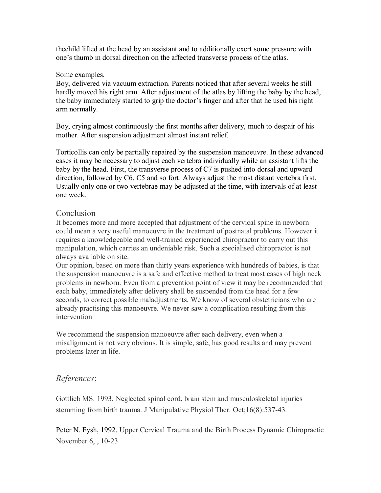thechild lifted at the head by an assistant and to additionally exert some pressure with one's thumb in dorsal direction on the affected transverse process of the atlas.

#### Some examples.

Boy, delivered via vacuum extraction. Parents noticed that after several weeks he still hardly moved his right arm. After adjustment of the atlas by lifting the baby by the head, the baby immediately started to grip the doctor's finger and after that he used his right arm normally.

Boy, crying almost continuously the first months after delivery, much to despair of his mother. After suspension adjustment almost instant relief.

Torticollis can only be partially repaired by the suspension manoeuvre. In these advanced cases it may be necessary to adjust each vertebra individually while an assistant lifts the baby by the head. First, the transverse process of C7 is pushed into dorsal and upward direction, followed by C6, C5 and so fort. Always adjust the most distant vertebra first. Usually only one or two vertebrae may be adjusted at the time, with intervals of at least one week**.**

# **Conclusion**

It becomes more and more accepted that adjustment of the cervical spine in newborn could mean a very useful manoeuvre in the treatment of postnatal problems. However it requires a knowledgeable and well-trained experienced chiropractor to carry out this manipulation, which carries an undeniable risk. Such a specialised chiropractor is not always available on site.

Our opinion, based on more than thirty years experience with hundreds of babies, is that the suspension manoeuvre is a safe and effective method to treat most cases of high neck problems in newborn. Even from a prevention point of view it may be recommended that each baby, immediately after delivery shall be suspended from the head for a few seconds, to correct possible maladjustments. We know of several obstetricians who are already practising this manoeuvre. We never saw a complication resulting from this intervention

We recommend the suspension manoeuvre after each delivery, even when a misalignment is not very obvious. It is simple, safe, has good results and may prevent problems later in life.

# *References*:

Gottlieb MS. 1993. Neglected spinal cord, brain stem and musculoskeletal injuries stemming from birth trauma. J Manipulative Physiol Ther. Oct;16(8):537-43.

Peter N. Fysh, 1992. Upper Cervical Trauma and the Birth Process Dynamic Chiropractic November 6, , 10-23